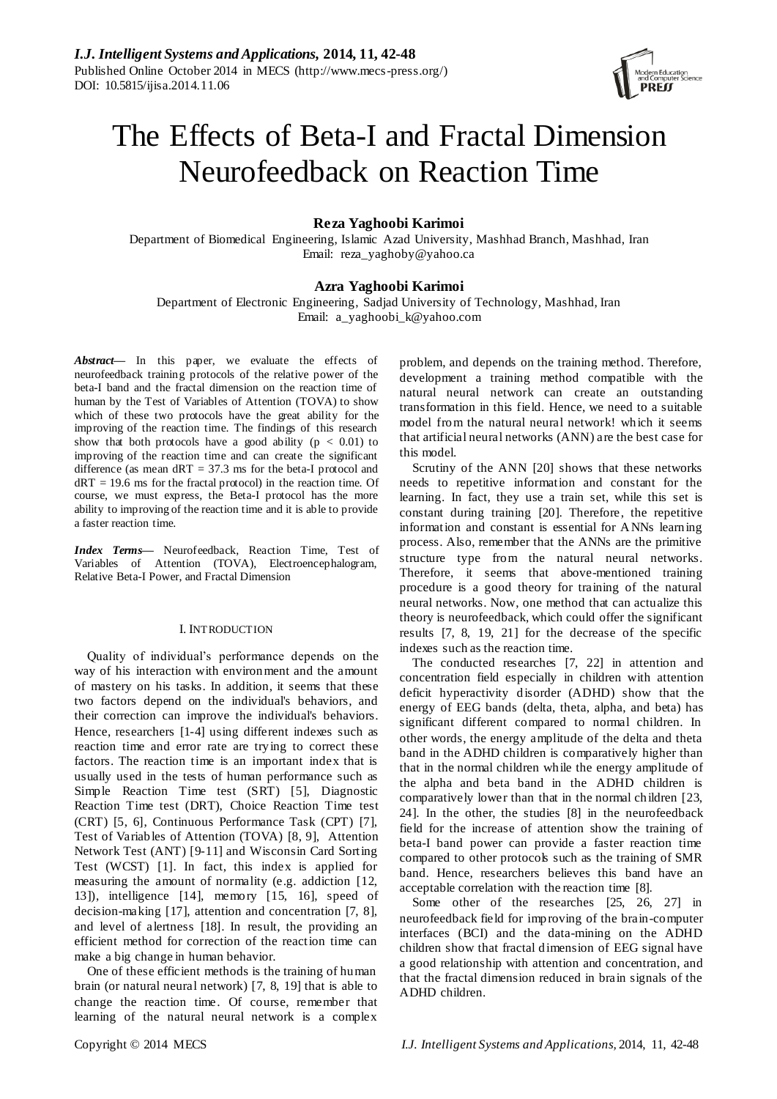

# The Effects of Beta-I and Fractal Dimension Neurofeedback on Reaction Time

# **Reza Yaghoobi Karimoi**

Department of Biomedical Engineering, Islamic Azad University, Mashhad Branch, Mashhad, Iran Email: reza\_yaghoby@yahoo.ca

# **Azra Yaghoobi Karimoi**

Department of Electronic Engineering, Sadjad University of Technology, Mashhad, Iran Email: a\_yaghoobi\_k@yahoo.com

*Abstract—* In this paper, we evaluate the effects of neurofeedback training protocols of the relative power of the beta-I band and the fractal dimension on the reaction time of human by the Test of Variables of Attention (TOVA) to show which of these two protocols have the great ability for the improving of the reaction time. The findings of this research show that both protocols have a good ability ( $p < 0.01$ ) to improving of the reaction time and can create the significant difference (as mean  $dRT = 37.3$  ms for the beta-I protocol and  $dRT = 19.6$  ms for the fractal protocol) in the reaction time. Of course, we must express, the Beta-I protocol has the more ability to improving of the reaction time and it is able to provide a faster reaction time.

*Index Terms***—** Neurofeedback, Reaction Time, Test of Variables of Attention (TOVA), Electroencephalogram, Relative Beta-I Power, and Fractal Dimension

#### I. INTRODUCTION

Quality of individual's performance depends on the way of his interaction with environment and the amount of mastery on his tasks. In addition, it seems that these two factors depend on the individual's behaviors, and their correction can improve the individual's behaviors. Hence, researchers [1-4] using different indexes such as reaction time and error rate are trying to correct these factors. The reaction time is an important index that is usually used in the tests of human performance such as Simple Reaction Time test (SRT) [5], Diagnostic Reaction Time test (DRT), Choice Reaction Time test (CRT) [5, 6], Continuous Performance Task (CPT) [7], Test of Variables of Attention (TOVA) [8, 9], Attention Network Test (ANT) [9-11] and Wisconsin Card Sorting Test (WCST) [1]. In fact, this index is applied for measuring the amount of normality (e.g. addiction [12, 13]), intelligence [14], memory [15, 16], speed of decision-making [17], attention and concentration [7, 8], and level of alertness [18]. In result, the providing an efficient method for correction of the reaction time can make a big change in human behavior.

One of these efficient methods is the training of human brain (or natural neural network) [7, 8, 19] that is able to change the reaction time. Of course, remember that learning of the natural neural network is a complex

problem, and depends on the training method. Therefore, development a training method compatible with the natural neural network can create an outstanding transformation in this field. Hence, we need to a suitable model from the natural neural network! which it seems that artificial neural networks (ANN) are the best case for this model.

Scrutiny of the ANN [20] shows that these networks needs to repetitive information and constant for the learning. In fact, they use a train set, while this set is constant during training [20]. Therefore, the repetitive information and constant is essential for ANNs learning process. Also, remember that the ANNs are the primitive structure type from the natural neural networks. Therefore, it seems that above-mentioned training procedure is a good theory for training of the natural neural networks. Now, one method that can actualize this theory is neurofeedback, which could offer the significant results [7, 8, 19, 21] for the decrease of the specific indexes such as the reaction time.

The conducted researches [7, 22] in attention and concentration field especially in children with attention deficit hyperactivity disorder (ADHD) show that the energy of EEG bands (delta, theta, alpha, and beta) has significant different compared to normal children. In other words, the energy amplitude of the delta and theta band in the ADHD children is comparatively higher than that in the normal children while the energy amplitude of the alpha and beta band in the ADHD children is comparatively lower than that in the normal children [23, 24]. In the other, the studies [8] in the neurofeedback field for the increase of attention show the training of beta-I band power can provide a faster reaction time compared to other protocols such as the training of SMR band. Hence, researchers believes this band have an acceptable correlation with the reaction time [8].

Some other of the researches [25, 26, 27] in neurofeedback field for improving of the brain-computer interfaces (BCI) and the data-mining on the ADHD children show that fractal dimension of EEG signal have a good relationship with attention and concentration, and that the fractal dimension reduced in brain signals of the ADHD children.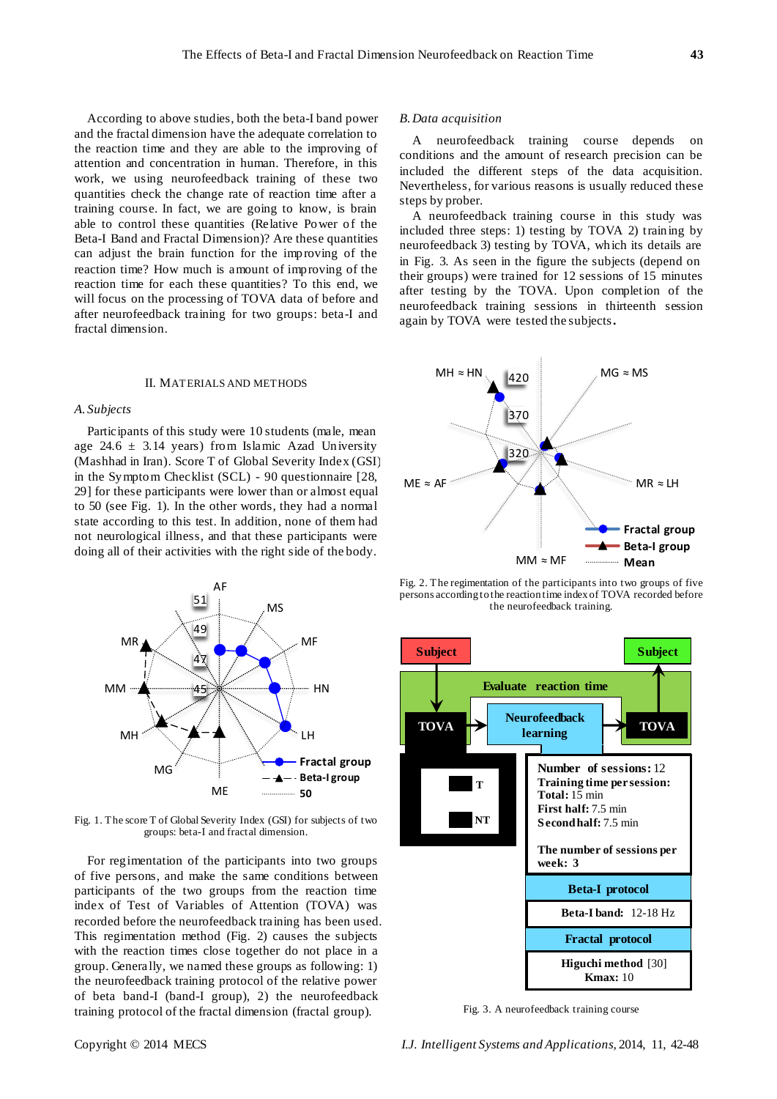According to above studies, both the beta-I band power and the fractal dimension have the adequate correlation to the reaction time and they are able to the improving of attention and concentration in human. Therefore, in this work, we using neurofeedback training of these two quantities check the change rate of reaction time after a training course. In fact, we are going to know, is brain able to control these quantities (Relative Power of the Beta-I Band and Fractal Dimension)? Are these quantities can adjust the brain function for the improving of the reaction time? How much is amount of improving of the reaction time for each these quantities? To this end, we will focus on the processing of TOVA data of before and after neurofeedback training for two groups: beta-I and fractal dimension.

#### II. MATERIALS AND METHODS

## *A. Subjects*

Participants of this study were 10 students (male, mean age 24.6  $\pm$  3.14 years) from Islamic Azad University (Mashhad in Iran). Score T of Global Severity Index (GSI) in the Symptom Checklist (SCL) - 90 questionnaire [28, 29] for these participants were lower than or almost equal to 50 (see Fig. 1). In the other words, they had a normal state according to this test. In addition, none of them had not neurological illness, and that these participants were doing all of their activities with the right side of the body.



Fig. 1. The score T of Global Severity Index (GSI) for subjects of two groups: beta-I and fractal dimension.

For regimentation of the participants into two groups of five persons, and make the same conditions between participants of the two groups from the reaction time index of Test of Variables of Attention (TOVA) was recorded before the neurofeedback training has been used. This regimentation method (Fig. 2) causes the subjects with the reaction times close together do not place in a group. Generally, we named these groups as following: 1) the neurofeedback training protocol of the relative power of beta band-I (band-I group), 2) the neurofeedback training protocol of the fractal dimension (fractal group).

#### *B.Data acquisition*

A neurofeedback training course depends on conditions and the amount of research precision can be included the different steps of the data acquisition. Nevertheless, for various reasons is usually reduced these steps by prober.

A neurofeedback training course in this study was included three steps: 1) testing by TOVA 2) training by neurofeedback 3) testing by TOVA, which its details are in Fig. 3. As seen in the figure the subjects (depend on their groups) were trained for 12 sessions of 15 minutes after testing by the TOVA. Upon completion of the neurofeedback training sessions in thirteenth session again by TOVA were tested the subjects**.**



Fig. 2. The regimentation of the participants into two groups of five persons according to the reaction time index of TOVA recorded before the neurofeedback training.



Fig. 3. A neurofeedback training course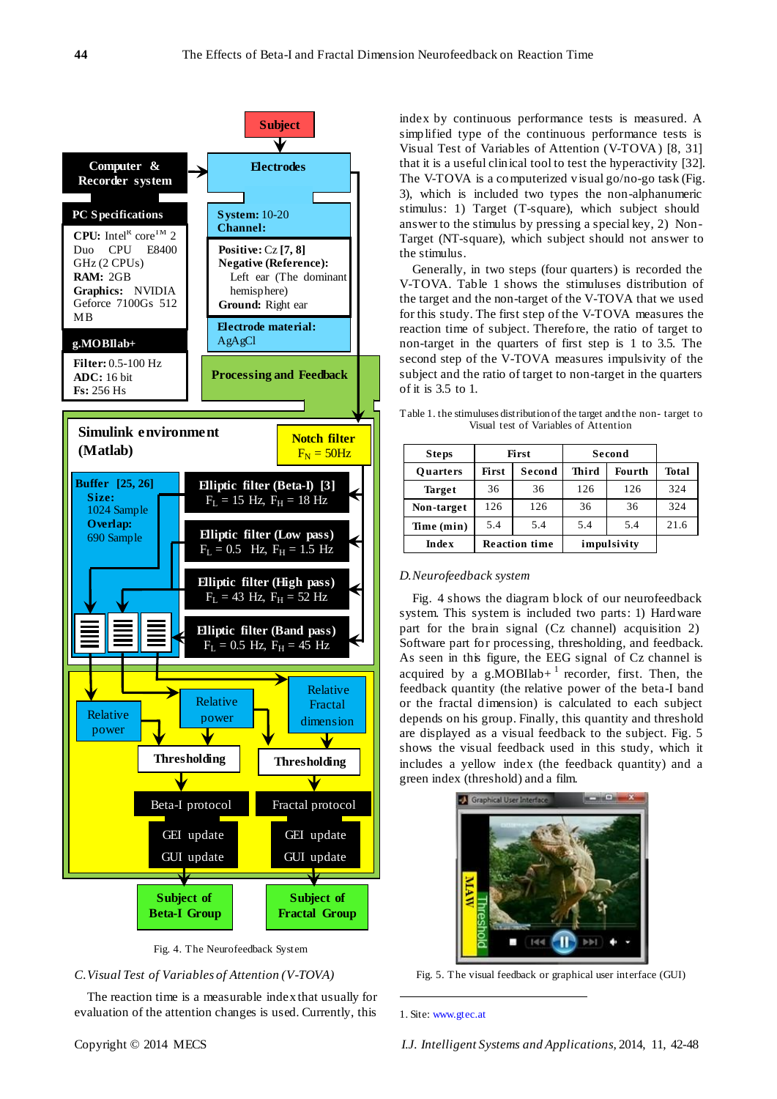

Fig. 4. The Neurofeedback System

## *C.Visual Test of Variables of Attention (V-TOVA)*

The reaction time is a measurable indexthat usually for evaluation of the attention changes is used. Currently, this

index by continuous performance tests is measured. A simplified type of the continuous performance tests is Visual Test of Variables of Attention (V-TOVA) [8, 31] that it is a useful clinical tool to test the hyperactivity [32]. The V-TOVA is a computerized visual go/no-go task (Fig. 3), which is included two types the non-alphanumeric stimulus: 1) Target (T-square), which subject should answer to the stimulus by pressing a special key, 2) Non-Target (NT-square), which subject should not answer to the stimulus.

Generally, in two steps (four quarters) is recorded the V-TOVA. Table 1 shows the stimuluses distribution of the target and the non-target of the V-TOVA that we used for this study. The first step of the V-TOVA measures the reaction time of subject. Therefore, the ratio of target to non-target in the quarters of first step is 1 to 3.5. The second step of the V-TOVA measures impulsivity of the subject and the ratio of target to non-target in the quarters of it is 3.5 to 1.

Table 1. the stimuluses distribution of the target and the non- target to Visual test of Variables of Attention

| <b>Steps</b>    | First                |        | Second      |               |              |
|-----------------|----------------------|--------|-------------|---------------|--------------|
| <b>Ouarters</b> | First                | Second | Third       | <b>Fourth</b> | <b>Total</b> |
| <b>Target</b>   | 36                   | 36     | 126         | 126           | 324          |
| Non-target      | 126                  | 126    | 36          | 36            | 324          |
| Time (min)      | 5.4                  | 5.4    | 5.4         | 5.4           | 21.6         |
| <b>Index</b>    | <b>Reaction time</b> |        | impulsivity |               |              |

## *D.Neurofeedback system*

Fig. 4 shows the diagram block of our neurofeedback system. This system is included two parts: 1) Hardware part for the brain signal (Cz channel) acquisition 2) Software part for processing, thresholding, and feedback. As seen in this figure, the EEG signal of Cz channel is acquired by a  $g.MOBI$ lab+  $1$  recorder, first. Then, the feedback quantity (the relative power of the beta-I band or the fractal dimension) is calculated to each subject depends on his group. Finally, this quantity and threshold are displayed as a visual feedback to the subject. Fig. 5 shows the visual feedback used in this study, which it includes a yellow index (the feedback quantity) and a green index (threshold) and a film.



Fig. 5. The visual feedback or graphical user interface (GUI)

1. Site: www.gtec.at

.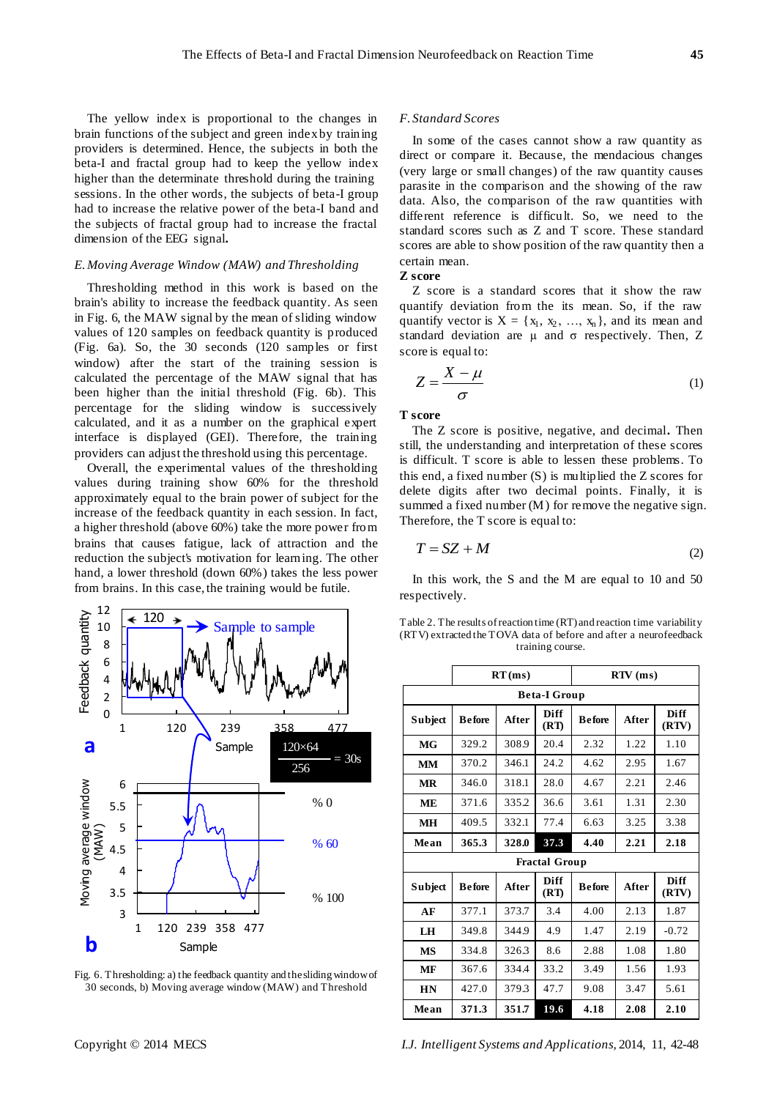The yellow index is proportional to the changes in brain functions of the subject and green indexby training providers is determined. Hence, the subjects in both the beta-I and fractal group had to keep the yellow index higher than the determinate threshold during the training sessions. In the other words, the subjects of beta-I group had to increase the relative power of the beta-I band and the subjects of fractal group had to increase the fractal dimension of the EEG signal**.**

## *E.Moving Average Window (MAW) and Thresholding*

Thresholding method in this work is based on the brain's ability to increase the feedback quantity. As seen in Fig. 6, the MAW signal by the mean of sliding window values of 120 samples on feedback quantity is produced (Fig. 6a). So, the 30 seconds (120 samples or first window) after the start of the training session is calculated the percentage of the MAW signal that has been higher than the initial threshold (Fig. 6b). This percentage for the sliding window is successively calculated, and it as a number on the graphical expert interface is displayed (GEI). Therefore, the training providers can adjust the threshold using this percentage.

Overall, the experimental values of the thresholding values during training show 60% for the threshold approximately equal to the brain power of subject for the increase of the feedback quantity in each session. In fact, a higher threshold (above 60%) take the more power from brains that causes fatigue, lack of attraction and the reduction the subject's motivation for learning. The other hand, a lower threshold (down 60%) takes the less power from brains. In this case, the training would be futile.



Fig. 6. Thresholding: a) the feedback quantity and the sliding window of 30 seconds, b) Moving average window (MAW) and Threshold

## *F. Standard Scores*

In some of the cases cannot show a raw quantity as direct or compare it. Because, the mendacious changes (very large or small changes) of the raw quantity causes parasite in the comparison and the showing of the raw data. Also, the comparison of the raw quantities with different reference is difficult. So, we need to the standard scores such as Z and T score. These standard scores are able to show position of the raw quantity then a certain mean.

## **Z score**

Z score is a standard scores that it show the raw quantify deviation from the its mean. So, if the raw quantify vector is  $X = \{x_1, x_2, ..., x_n\}$ , and its mean and standard deviation are  $\mu$  and  $\sigma$  respectively. Then, Z score is equal to:

$$
Z = \frac{X - \mu}{\sigma} \tag{1}
$$

## **T score**

The Z score is positive, negative, and decimal**.** Then still, the understanding and interpretation of these scores is difficult. T score is able to lessen these problems. To this end, a fixed number (S) is multiplied the Z scores for delete digits after two decimal points. Finally, it is summed a fixed number (M) for remove the negative sign. Therefore, the T score is equal to:

$$
T = SZ + M \tag{2}
$$

In this work, the S and the M are equal to 10 and 50 respectively.

Table 2. The results of reaction time (RT) and reaction time variability (RTV) extracted the TOVA data of before and after a neurofeedback training course.

|                      | RT(ms)        |       |              | $RTV$ (ms)    |       |               |  |  |
|----------------------|---------------|-------|--------------|---------------|-------|---------------|--|--|
| <b>Beta-I Group</b>  |               |       |              |               |       |               |  |  |
| Subject              | <b>Before</b> | After | Diff<br>(RT) | <b>Before</b> | After | Diff<br>(RTV) |  |  |
| MG                   | 329.2         | 308.9 | 20.4         | 2.32          | 1.22  | 1.10          |  |  |
| <b>MM</b>            | 370.2         | 346.1 | 24.2         | 4.62          | 2.95  | 1.67          |  |  |
| MR                   | 346.0         | 318.1 | 28.0         | 4.67          | 2.21  | 2.46          |  |  |
| MЕ                   | 371.6         | 335.2 | 36.6         | 3.61          | 1.31  | 2.30          |  |  |
| <b>MH</b>            | 409.5         | 332.1 | 77.4         | 6.63          | 3.25  | 3.38          |  |  |
| Mean                 | 365.3         | 328.0 | 37.3         | 4.40          | 2.21  | 2.18          |  |  |
| <b>Fractal Group</b> |               |       |              |               |       |               |  |  |
| Subject              | <b>Before</b> | After | Diff<br>(RT) | <b>Before</b> | After | Diff<br>(RTV) |  |  |
| AF                   | 377.1         | 373.7 | 3.4          | 4.00          | 2.13  | 1.87          |  |  |
| LH                   | 349.8         | 344.9 | 4.9          | 1.47          | 2.19  | $-0.72$       |  |  |
| <b>MS</b>            | 334.8         | 326.3 | 8.6          | 2.88          | 1.08  | 1.80          |  |  |
| MF                   | 367.6         | 334.4 | 33.2         | 3.49          | 1.56  | 1.93          |  |  |
| <b>HN</b>            | 427.0         | 379.3 | 47.7         | 9.08          | 3.47  | 5.61          |  |  |
| Mean                 | 371.3         | 351.7 | 19.6         | 4.18          | 2.08  | 2.10          |  |  |

Copyright © 2014 MECS *I.J. Intelligent Systems and Applications,* 2014, 11, 42-48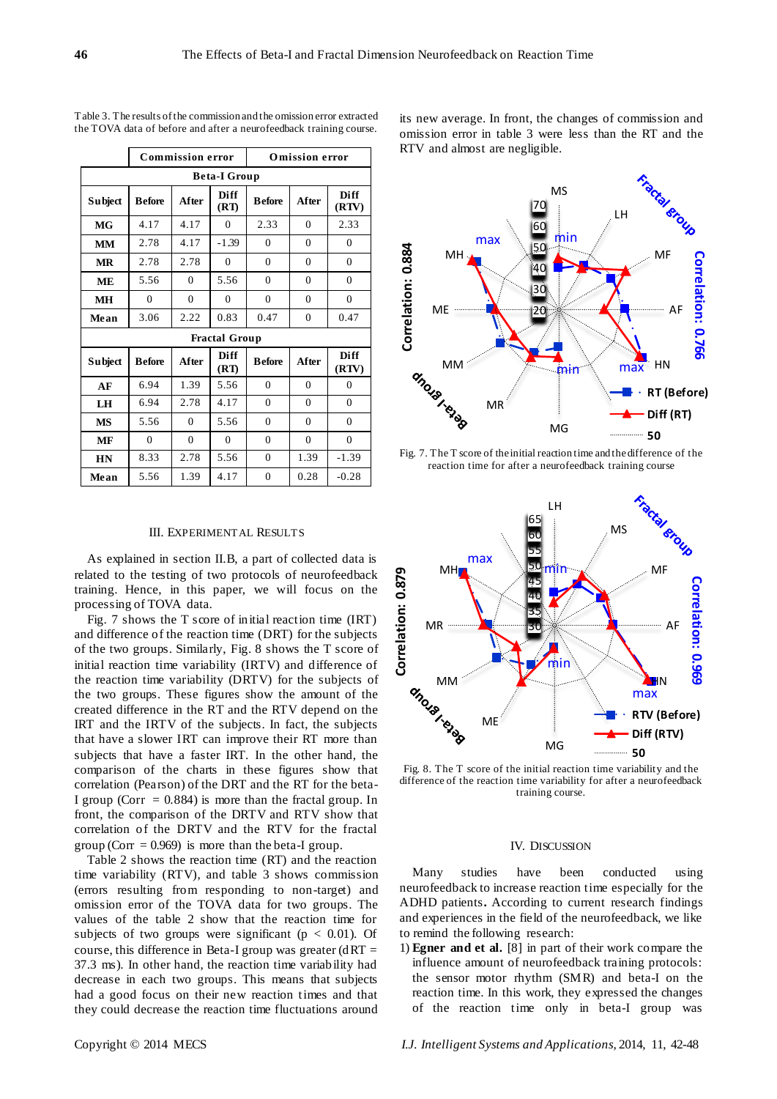|                      | <b>Commission error</b> |                |                     | <b>Omission error</b> |                  |                      |  |
|----------------------|-------------------------|----------------|---------------------|-----------------------|------------------|----------------------|--|
| <b>Beta-I Group</b>  |                         |                |                     |                       |                  |                      |  |
| <b>Subject</b>       | <b>Before</b>           | After          | <b>Diff</b><br>(RT) | <b>Before</b>         | After            | <b>Diff</b><br>(RTV) |  |
| MG                   | 4.17                    | 4.17           | $\Omega$            | 2.33                  | $\mathbf{0}$     | 2.33                 |  |
| MМ                   | 2.78                    | 4.17           | $-1.39$             | $\theta$              | $\theta$         | $\Omega$             |  |
| MR                   | 2.78                    | 2.78           | $\Omega$            | $\mathbf{0}$          | $\mathbf{0}$     | $\mathbf{0}$         |  |
| <b>ME</b>            | 5.56                    | $\overline{0}$ | 5.56                | $\mathbf{0}$          | $\mathbf{0}$     | $\mathbf{0}$         |  |
| <b>MH</b>            | 0                       | $\overline{0}$ | $\overline{0}$      | $\mathbf{0}$          | $\mathbf{0}$     | $\mathbf{0}$         |  |
| Mean                 | 3.06                    | 2.22           | 0.83                | 0.47                  | $\boldsymbol{0}$ | 0.47                 |  |
| <b>Fractal Group</b> |                         |                |                     |                       |                  |                      |  |
| <b>Subject</b>       | <b>B</b> efore          | After          | <b>Diff</b><br>(RT) | <b>Before</b>         | After            | <b>Diff</b><br>(RTV) |  |
| AF                   | 6.94                    | 1.39           | 5.56                | $\mathbf{0}$          | $\mathbf{0}$     | $\mathbf{0}$         |  |
| LH                   | 6.94                    | 2.78           | 4.17                | $\mathbf{0}$          | $\mathbf{0}$     | $\mathbf{0}$         |  |
| MS                   | 5.56                    | $\Omega$       | 5.56                | $\mathbf{0}$          | $\Omega$         | $\Omega$             |  |
| MF                   | $\theta$                | $\theta$       | $\Omega$            | $\theta$              | $\theta$         | $\Omega$             |  |
| HN                   | 8.33                    | 2.78           | 5.56                | $\mathbf{0}$          | 1.39             | $-1.39$              |  |
| Mean                 | 5.56                    | 1.39           | 4.17                | $\boldsymbol{0}$      | 0.28             | $-0.28$              |  |

Table 3. The results of the commission and the omission error extracted the TOVA data of before and after a neurofeedback training course.

III. EXPERIMENTAL RESULTS

As explained in section II.B, a part of collected data is related to the testing of two protocols of neurofeedback training. Hence, in this paper, we will focus on the processing of TOVA data.

Fig. 7 shows the T score of initial reaction time (IRT) and difference of the reaction time (DRT) for the subjects of the two groups. Similarly, Fig. 8 shows the T score of initial reaction time variability (IRTV) and difference of the reaction time variability (DRTV) for the subjects of the two groups. These figures show the amount of the created difference in the RT and the RTV depend on the IRT and the IRTV of the subjects. In fact, the subjects that have a slower IRT can improve their RT more than subjects that have a faster IRT. In the other hand, the comparison of the charts in these figures show that correlation (Pearson) of the DRT and the RT for the beta-I group (Corr  $= 0.884$ ) is more than the fractal group. In front, the comparison of the DRTV and RTV show that correlation of the DRTV and the RTV for the fractal group (Corr = 0.969) is more than the beta-I group.

Table 2 shows the reaction time (RT) and the reaction time variability (RTV), and table 3 shows commission (errors resulting from responding to non-target) and omission error of the TOVA data for two groups. The values of the table 2 show that the reaction time for subjects of two groups were significant ( $p < 0.01$ ). Of course, this difference in Beta-I group was greater ( $dRT =$ 37.3 ms). In other hand, the reaction time variability had decrease in each two groups. This means that subjects had a good focus on their new reaction times and that they could decrease the reaction time fluctuations around

its new average. In front, the changes of commission and omission error in table 3 were less than the RT and the RTV and almost are negligible.



Fig. 7. The T score of the initial reaction time and the difference of the reaction time for after a neurofeedback training course



Fig. 8. The T score of the initial reaction time variability and the difference of the reaction time variability for after a neurofeedback training course.

#### IV. DISCUSSION

Many studies have been conducted using neurofeedback to increase reaction time especially for the ADHD patients**.** According to current research findings and experiences in the field of the neurofeedback, we like to remind the following research:

1) **Egner and et al.** [8] in part of their work compare the influence amount of neurofeedback training protocols: the sensor motor rhythm (SMR) and beta-I on the reaction time. In this work, they expressed the changes of the reaction time only in beta-I group was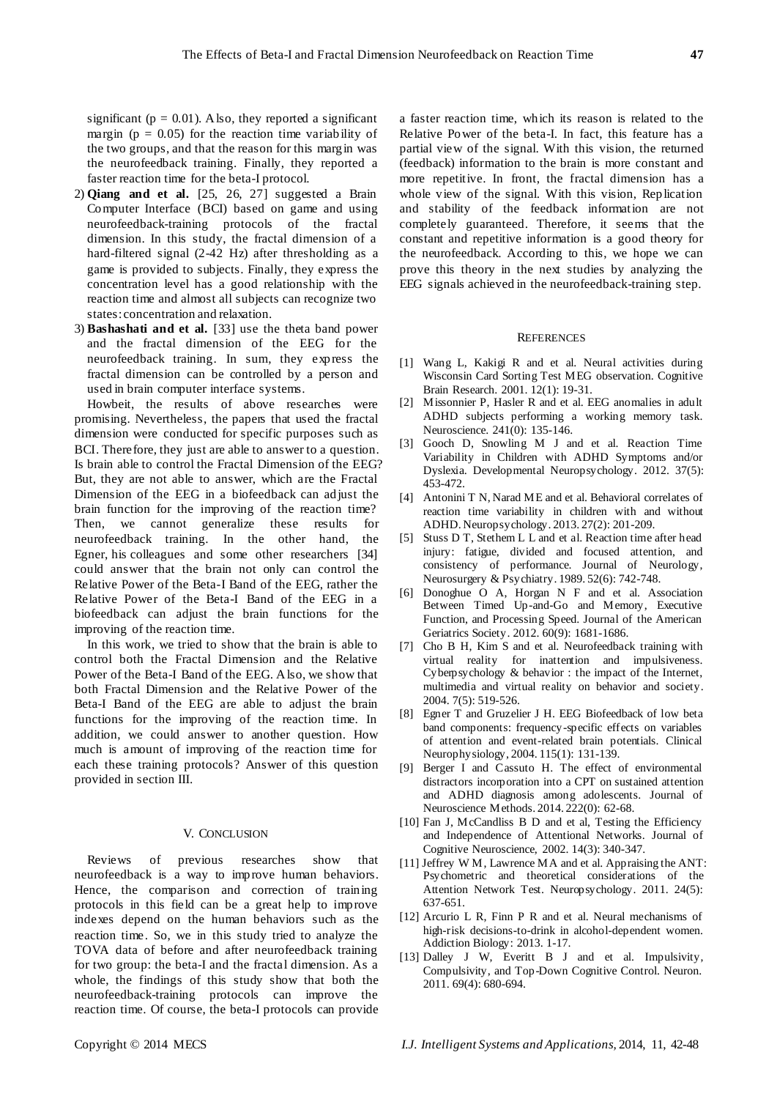significant ( $p = 0.01$ ). Also, they reported a significant margin ( $p = 0.05$ ) for the reaction time variability of the two groups, and that the reason for this margin was the neurofeedback training. Finally, they reported a faster reaction time for the beta-I protocol.

- 2) **Qiang and et al.** [25, 26, 27] suggested a Brain Computer Interface (BCI) based on game and using neurofeedback-training protocols of the fractal dimension. In this study, the fractal dimension of a hard-filtered signal (2-42 Hz) after thresholding as a game is provided to subjects. Finally, they express the concentration level has a good relationship with the reaction time and almost all subjects can recognize two states: concentration and relaxation.
- 3) **Bashashati and et al.** [33] use the theta band power and the fractal dimension of the EEG for the neurofeedback training. In sum, they express the fractal dimension can be controlled by a person and used in brain computer interface systems.

Howbeit, the results of above researches were promising. Nevertheless, the papers that used the fractal dimension were conducted for specific purposes such as BCI. Therefore, they just are able to answer to a question. Is brain able to control the Fractal Dimension of the EEG? But, they are not able to answer, which are the Fractal Dimension of the EEG in a biofeedback can adjust the brain function for the improving of the reaction time? Then, we cannot generalize these results for neurofeedback training. In the other hand, the Egner, his colleagues and some other researchers [34] could answer that the brain not only can control the Relative Power of the Beta-I Band of the EEG, rather the Relative Power of the Beta-I Band of the EEG in a biofeedback can adjust the brain functions for the improving of the reaction time.

In this work, we tried to show that the brain is able to control both the Fractal Dimension and the Relative Power of the Beta-I Band of the EEG. Also, we show that both Fractal Dimension and the Relative Power of the Beta-I Band of the EEG are able to adjust the brain functions for the improving of the reaction time. In addition, we could answer to another question. How much is amount of improving of the reaction time for each these training protocols? Answer of this question provided in section III.

#### V. CONCLUSION

Reviews of previous researches show that neurofeedback is a way to improve human behaviors. Hence, the comparison and correction of training protocols in this field can be a great help to improve indexes depend on the human behaviors such as the reaction time. So, we in this study tried to analyze the TOVA data of before and after neurofeedback training for two group: the beta-I and the fractal dimension. As a whole, the findings of this study show that both the neurofeedback-training protocols can improve the reaction time. Of course, the beta-I protocols can provide a faster reaction time, which its reason is related to the Relative Power of the beta-I. In fact, this feature has a partial view of the signal. With this vision, the returned (feedback) information to the brain is more constant and more repetitive. In front, the fractal dimension has a whole view of the signal. With this vision, Replication and stability of the feedback information are not completely guaranteed. Therefore, it seems that the constant and repetitive information is a good theory for the neurofeedback. According to this, we hope we can prove this theory in the next studies by analyzing the EEG signals achieved in the neurofeedback-training step.

#### **REFERENCES**

- [1] Wang L, Kakigi R and et al. Neural activities during Wisconsin Card Sorting Test MEG observation. Cognitive Brain Research. 2001. 12(1): 19-31.
- [2] Missonnier P, Hasler R and et al. EEG anomalies in adult ADHD subjects performing a working memory task. Neuroscience. 241(0): 135-146.
- [3] Gooch D, Snowling M J and et al. Reaction Time Variability in Children with ADHD Symptoms and/or Dyslexia. Developmental Neuropsychology. 2012. 37(5): 453-472.
- [4] Antonini T N, Narad ME and et al. Behavioral correlates of reaction time variability in children with and without ADHD. Neuropsychology. 2013. 27(2): 201-209.
- [5] Stuss D T, Stethem L L and et al. Reaction time after head injury: fatigue, divided and focused attention, and consistency of performance. Journal of Neurology, Neurosurgery & Psychiatry. 1989. 52(6): 742-748.
- [6] Donoghue O A, Horgan N F and et al. Association Between Timed Up-and-Go and Memory, Executive Function, and Processing Speed. Journal of the American Geriatrics Society. 2012. 60(9): 1681-1686.
- [7] Cho B H, Kim S and et al. Neurofeedback training with virtual reality for inattention and impulsiveness. Cyberpsychology & behavior : the impact of the Internet, multimedia and virtual reality on behavior and society. 2004. 7(5): 519-526.
- [8] Egner T and Gruzelier J H. EEG Biofeedback of low beta band components: frequency-specific effects on variables of attention and event-related brain potentials. Clinical Neurophysiology, 2004. 115(1): 131-139.
- [9] Berger I and Cassuto H. The effect of environmental distractors incorporation into a CPT on sustained attention and ADHD diagnosis among adolescents. Journal of Neuroscience Methods. 2014. 222(0): 62-68.
- [10] Fan J, McCandliss B D and et al, Testing the Efficiency and Independence of Attentional Networks. Journal of Cognitive Neuroscience, 2002. 14(3): 340-347.
- [11] Jeffrey W M, Lawrence MA and et al. Appraising the ANT: Psychometric and theoretical considerations of the Attention Network Test. Neuropsychology. 2011. 24(5): 637-651.
- [12] Arcurio L R, Finn P R and et al. Neural mechanisms of high-risk decisions-to-drink in alcohol-dependent women. Addiction Biology: 2013. 1-17.
- [13] Dalley J W, Everitt B J and et al. Impulsivity, Compulsivity, and Top-Down Cognitive Control. Neuron. 2011. 69(4): 680-694.